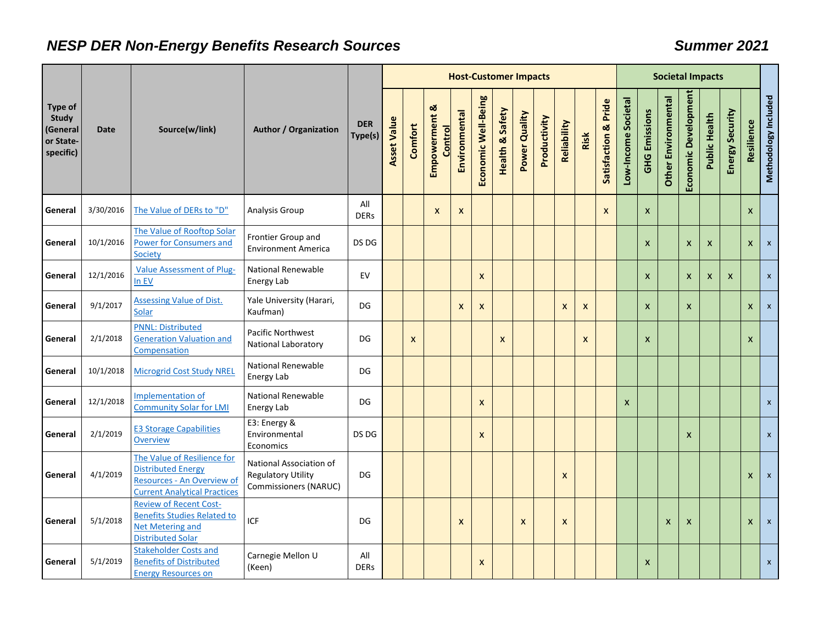## *NESP DER Non-Energy Benefits Research Sources Summer 2021*

|                                                                      |             |                                                                                                                               |                                                                               |                       | <b>Host-Customer Impacts</b> |                           |                                 |                           |                     |                           |                  |              |                |              |                                 |                     | <b>Societal Impacts</b>   |                           |                           |                           |                 |            |                      |  |
|----------------------------------------------------------------------|-------------|-------------------------------------------------------------------------------------------------------------------------------|-------------------------------------------------------------------------------|-----------------------|------------------------------|---------------------------|---------------------------------|---------------------------|---------------------|---------------------------|------------------|--------------|----------------|--------------|---------------------------------|---------------------|---------------------------|---------------------------|---------------------------|---------------------------|-----------------|------------|----------------------|--|
| <b>Type of</b><br><b>Study</b><br>(General<br>or State-<br>specific) | <b>Date</b> | Source(w/link)                                                                                                                | <b>Author / Organization</b>                                                  | <b>DER</b><br>Type(s) | <b>Asset Value</b>           | Comfort                   | Empowerment &<br><b>Control</b> | Environmental             | Economic Well-Being | Safety<br>Health &        | Power Quality    | Productivity | Reliability    | Risk         | <b>Satisfaction &amp; Pride</b> | Low-Income Societal | <b>GHG Emissions</b>      | Other Environmental       | Economic Development      | Public Health             | Energy Security | Resilience | Methodology Included |  |
| General                                                              | 3/30/2016   | The Value of DERs to "D"                                                                                                      | Analysis Group                                                                | All<br><b>DERs</b>    |                              |                           | $\mathsf{x}$                    | X                         |                     |                           |                  |              |                |              | $\boldsymbol{X}$                |                     | $\boldsymbol{\mathsf{x}}$ |                           |                           |                           |                 | X          |                      |  |
| General                                                              | 10/1/2016   | The Value of Rooftop Solar<br><b>Power for Consumers and</b><br>Society                                                       | Frontier Group and<br><b>Environment America</b>                              | DS DG                 |                              |                           |                                 |                           |                     |                           |                  |              |                |              |                                 |                     | $\boldsymbol{\mathsf{x}}$ |                           | $\boldsymbol{\mathsf{x}}$ | $\pmb{\times}$            |                 | X          | $\mathbf{x}$         |  |
| General                                                              | 12/1/2016   | <b>Value Assessment of Plug-</b><br>In EV                                                                                     | <b>National Renewable</b><br>Energy Lab                                       | EV                    |                              |                           |                                 |                           | $\boldsymbol{x}$    |                           |                  |              |                |              |                                 |                     | $\boldsymbol{\mathsf{x}}$ |                           | $\mathsf{x}$              | $\boldsymbol{\mathsf{x}}$ | $\mathsf{x}$    |            | $\mathsf{x}$         |  |
| General                                                              | 9/1/2017    | <b>Assessing Value of Dist.</b><br>Solar                                                                                      | Yale University (Harari,<br>Kaufman)                                          | DG                    |                              |                           |                                 | $\boldsymbol{\mathsf{x}}$ | $\boldsymbol{x}$    |                           |                  |              | $\pmb{\times}$ | $\mathsf{x}$ |                                 |                     | $\boldsymbol{\mathsf{x}}$ |                           | $\mathsf{x}$              |                           |                 | X          | $\mathsf{x}$         |  |
| General                                                              | 2/1/2018    | <b>PNNL: Distributed</b><br><b>Generation Valuation and</b><br>Compensation                                                   | Pacific Northwest<br><b>National Laboratory</b>                               | DG                    |                              | $\boldsymbol{\mathsf{x}}$ |                                 |                           |                     | $\boldsymbol{\mathsf{x}}$ |                  |              |                | X            |                                 |                     | $\boldsymbol{\mathsf{x}}$ |                           |                           |                           |                 | X          |                      |  |
| General                                                              | 10/1/2018   | <b>Microgrid Cost Study NREL</b>                                                                                              | National Renewable<br>Energy Lab                                              | DG                    |                              |                           |                                 |                           |                     |                           |                  |              |                |              |                                 |                     |                           |                           |                           |                           |                 |            |                      |  |
| General                                                              | 12/1/2018   | Implementation of<br><b>Community Solar for LMI</b>                                                                           | <b>National Renewable</b><br>Energy Lab                                       | DG                    |                              |                           |                                 |                           | $\boldsymbol{x}$    |                           |                  |              |                |              |                                 | $\pmb{\mathsf{X}}$  |                           |                           |                           |                           |                 |            | $\mathsf{x}$         |  |
| General                                                              | 2/1/2019    | <b>E3 Storage Capabilities</b><br><b>Overview</b>                                                                             | E3: Energy &<br>Environmental<br>Economics                                    | DS DG                 |                              |                           |                                 |                           | $\boldsymbol{x}$    |                           |                  |              |                |              |                                 |                     |                           |                           | $\boldsymbol{\mathsf{x}}$ |                           |                 |            | $\mathsf{x}$         |  |
| General                                                              | 4/1/2019    | The Value of Resilience for<br><b>Distributed Energy</b><br>Resources - An Overview of<br><b>Current Analytical Practices</b> | National Association of<br><b>Regulatory Utility</b><br>Commissioners (NARUC) | DG                    |                              |                           |                                 |                           |                     |                           |                  |              | X              |              |                                 |                     |                           |                           |                           |                           |                 | X          | $\mathbf{x}$         |  |
| General                                                              | 5/1/2018    | <b>Review of Recent Cost-</b><br><b>Benefits Studies Related to</b><br><b>Net Metering and</b><br><b>Distributed Solar</b>    | <b>ICF</b>                                                                    | DG                    |                              |                           |                                 | $\boldsymbol{\mathsf{x}}$ |                     |                           | $\boldsymbol{x}$ |              | X              |              |                                 |                     |                           | $\boldsymbol{\mathsf{x}}$ | X                         |                           |                 | X          | $\mathsf{x}$         |  |
| General                                                              | 5/1/2019    | <b>Stakeholder Costs and</b><br><b>Benefits of Distributed</b><br><b>Energy Resources on</b>                                  | Carnegie Mellon U<br>(Keen)                                                   | All<br><b>DERs</b>    |                              |                           |                                 |                           | $\boldsymbol{x}$    |                           |                  |              |                |              |                                 |                     | $\pmb{\times}$            |                           |                           |                           |                 |            | $\mathsf{x}$         |  |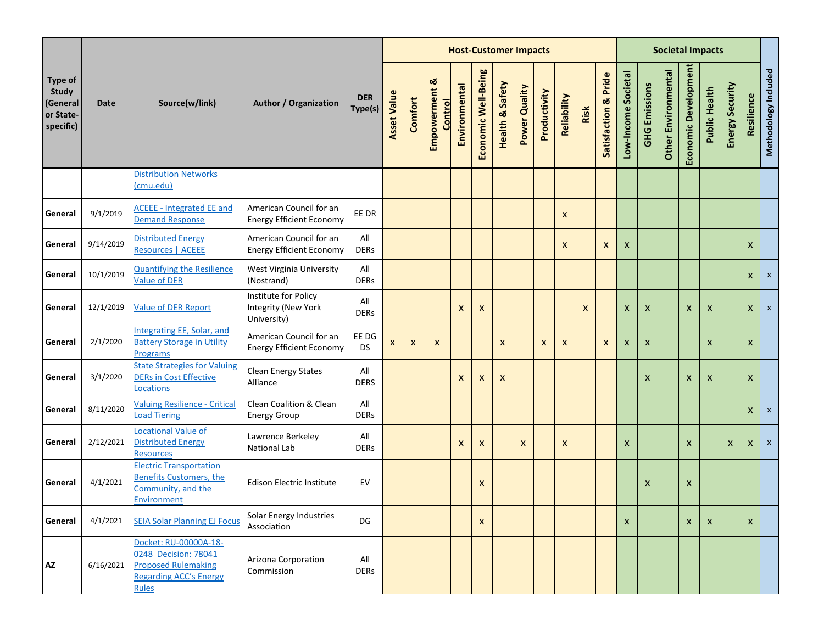|                                                                      |             |                                                                                                                              |                                                            |                       |                    |                           |                          |                           |                           | <b>Host-Customer Impacts</b> |               |              |                           |      |                      |                           |                           |                            | <b>Societal Impacts</b>   |                           |                           |                |                      |
|----------------------------------------------------------------------|-------------|------------------------------------------------------------------------------------------------------------------------------|------------------------------------------------------------|-----------------------|--------------------|---------------------------|--------------------------|---------------------------|---------------------------|------------------------------|---------------|--------------|---------------------------|------|----------------------|---------------------------|---------------------------|----------------------------|---------------------------|---------------------------|---------------------------|----------------|----------------------|
| <b>Type of</b><br><b>Study</b><br>(General<br>or State-<br>specific) | <b>Date</b> | Source(w/link)                                                                                                               | <b>Author / Organization</b>                               | <b>DER</b><br>Type(s) | <b>Asset Value</b> | Comfort                   | Empowerment &<br>Control | Environmental             | Economic Well-Being       | Safety<br>Health &           | Power Quality | Productivity | Reliability               | Risk | Satisfaction & Pride | Low-Income Societal       | <b>GHG Emissions</b>      | <b>Other Environmental</b> | Economic Development      | Public Health             | Energy Security           | Resilience     | Methodology Included |
|                                                                      |             | <b>Distribution Networks</b><br>(cmu.edu)                                                                                    |                                                            |                       |                    |                           |                          |                           |                           |                              |               |              |                           |      |                      |                           |                           |                            |                           |                           |                           |                |                      |
| General                                                              | 9/1/2019    | <b>ACEEE - Integrated EE and</b><br><b>Demand Response</b>                                                                   | American Council for an<br><b>Energy Efficient Economy</b> | EE DR                 |                    |                           |                          |                           |                           |                              |               |              | $\boldsymbol{\mathsf{x}}$ |      |                      |                           |                           |                            |                           |                           |                           |                |                      |
| General                                                              | 9/14/2019   | <b>Distributed Energy</b><br>Resources   ACEEE                                                                               | American Council for an<br><b>Energy Efficient Economy</b> | All<br><b>DERs</b>    |                    |                           |                          |                           |                           |                              |               |              | $\mathsf{x}$              |      | $\mathsf{x}$         | $\boldsymbol{\mathsf{x}}$ |                           |                            |                           |                           |                           | $\mathsf{X}$   |                      |
| General                                                              | 10/1/2019   | <b>Quantifying the Resilience</b><br><b>Value of DER</b>                                                                     | West Virginia University<br>(Nostrand)                     | All<br><b>DERs</b>    |                    |                           |                          |                           |                           |                              |               |              |                           |      |                      |                           |                           |                            |                           |                           |                           | $\mathsf{x}$   | $\pmb{\mathsf{X}}$   |
| General                                                              | 12/1/2019   | <b>Value of DER Report</b>                                                                                                   | Institute for Policy<br>Integrity (New York<br>University) | All<br><b>DERs</b>    |                    |                           |                          | $\boldsymbol{\mathsf{x}}$ | $\boldsymbol{\mathsf{x}}$ |                              |               |              |                           | X    |                      | X                         | $\boldsymbol{\mathsf{x}}$ |                            | X                         | $\mathsf{x}$              |                           | $\mathsf{X}^-$ | $\pmb{\chi}$         |
| General                                                              | 2/1/2020    | <b>Integrating EE, Solar, and</b><br><b>Battery Storage in Utility</b><br>Programs                                           | American Council for an<br><b>Energy Efficient Economy</b> | EE DG<br><b>DS</b>    | X                  | $\boldsymbol{\mathsf{x}}$ | $\mathsf{x}$             |                           |                           | $\boldsymbol{\mathsf{x}}$    |               | X            | $\mathsf{x}$              |      | $\mathsf{x}$         | X                         | $\boldsymbol{\mathsf{x}}$ |                            |                           | $\boldsymbol{\mathsf{x}}$ |                           | X              |                      |
| General                                                              | 3/1/2020    | <b>State Strategies for Valuing</b><br><b>DERs in Cost Effective</b><br>Locations                                            | <b>Clean Energy States</b><br>Alliance                     | All<br><b>DERS</b>    |                    |                           |                          | $\boldsymbol{\mathsf{x}}$ | $\boldsymbol{\mathsf{x}}$ | X                            |               |              |                           |      |                      |                           | $\boldsymbol{\mathsf{x}}$ |                            | $\boldsymbol{\mathsf{x}}$ | $\boldsymbol{\mathsf{x}}$ |                           | X              |                      |
| General                                                              | 8/11/2020   | <b>Valuing Resilience - Critical</b><br><b>Load Tiering</b>                                                                  | Clean Coalition & Clean<br><b>Energy Group</b>             | All<br><b>DERs</b>    |                    |                           |                          |                           |                           |                              |               |              |                           |      |                      |                           |                           |                            |                           |                           |                           | $\mathsf{X}^-$ | $\mathbf{x}$         |
| General                                                              | 2/12/2021   | <b>Locational Value of</b><br><b>Distributed Energy</b><br><b>Resources</b>                                                  | Lawrence Berkeley<br><b>National Lab</b>                   | All<br><b>DERs</b>    |                    |                           |                          | $\boldsymbol{\mathsf{x}}$ | $\boldsymbol{\mathsf{x}}$ |                              | $\mathsf{x}$  |              | $\boldsymbol{\mathsf{x}}$ |      |                      | $\pmb{\mathsf{X}}$        |                           |                            | $\boldsymbol{x}$          |                           | $\boldsymbol{\mathsf{x}}$ | $\mathsf{X}^-$ | $\mathsf{x}$         |
| General                                                              | 4/1/2021    | <b>Electric Transportation</b><br><b>Benefits Customers, the</b><br>Community, and the<br>Environment                        | <b>Edison Electric Institute</b>                           | EV                    |                    |                           |                          |                           | X                         |                              |               |              |                           |      |                      |                           | X                         |                            | X                         |                           |                           |                |                      |
| General                                                              | 4/1/2021    | <b>SEIA Solar Planning EJ Focus</b>                                                                                          | Solar Energy Industries<br>Association                     | DG                    |                    |                           |                          |                           | $\mathsf{x}$              |                              |               |              |                           |      |                      | $\pmb{\mathsf{X}}$        |                           |                            | $\boldsymbol{x}$          | $\mathsf{x}$              |                           | $\mathsf{x}$   |                      |
| $\mathsf{A}\mathsf{Z}$                                               | 6/16/2021   | Docket: RU-00000A-18-<br>0248 Decision: 78041<br><b>Proposed Rulemaking</b><br><b>Regarding ACC's Energy</b><br><b>Rules</b> | Arizona Corporation<br>Commission                          | All<br><b>DERs</b>    |                    |                           |                          |                           |                           |                              |               |              |                           |      |                      |                           |                           |                            |                           |                           |                           |                |                      |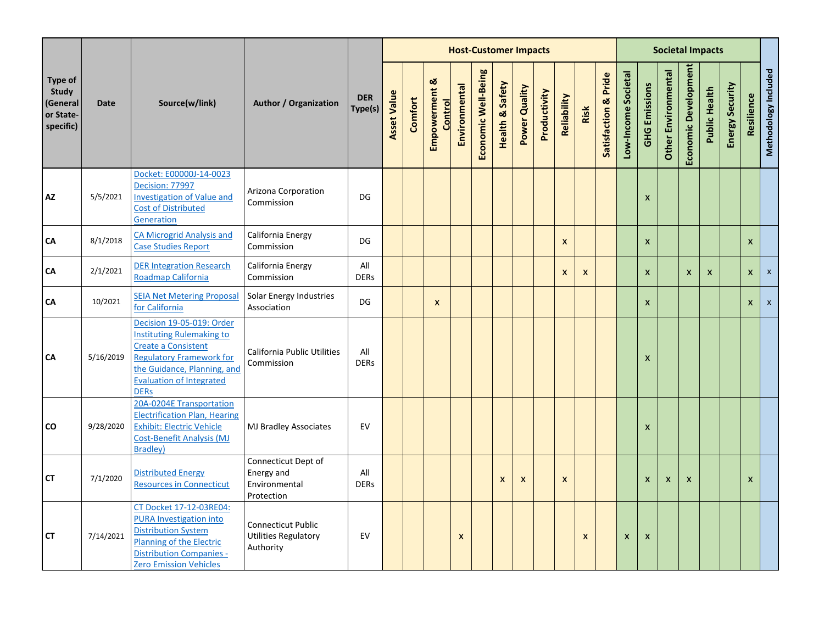|                                                        |             |                                                                                                                                                                                                                 |                                                                       |                       |                    |         |                                 |                           |                     | <b>Host-Customer Impacts</b> |               |              |                           |              |                      |                     |                           | <b>Societal Impacts</b>   |                           |               |                 |                |                      |
|--------------------------------------------------------|-------------|-----------------------------------------------------------------------------------------------------------------------------------------------------------------------------------------------------------------|-----------------------------------------------------------------------|-----------------------|--------------------|---------|---------------------------------|---------------------------|---------------------|------------------------------|---------------|--------------|---------------------------|--------------|----------------------|---------------------|---------------------------|---------------------------|---------------------------|---------------|-----------------|----------------|----------------------|
| Type of<br>Study<br>(General<br>or State-<br>specific) | <b>Date</b> | Source(w/link)                                                                                                                                                                                                  | <b>Author / Organization</b>                                          | <b>DER</b><br>Type(s) | <b>Asset Value</b> | Comfort | Empowerment &<br><b>Control</b> | Environmental             | Economic Well-Being | Safety<br>Health &           | Power Quality | Productivity | Reliability               | Risk         | Satisfaction & Pride | Low-Income Societal | <b>GHG Emissions</b>      | Other Environmental       | Economic Development      | Public Health | Energy Security | Resilience     | Methodology Included |
| AZ                                                     | 5/5/2021    | Docket: E00000J-14-0023<br>Decision: 77997<br><b>Investigation of Value and</b><br><b>Cost of Distributed</b><br>Generation                                                                                     | Arizona Corporation<br>Commission                                     | DG                    |                    |         |                                 |                           |                     |                              |               |              |                           |              |                      |                     | $\boldsymbol{\mathsf{x}}$ |                           |                           |               |                 |                |                      |
| CA                                                     | 8/1/2018    | <b>CA Microgrid Analysis and</b><br><b>Case Studies Report</b>                                                                                                                                                  | California Energy<br>Commission                                       | DG                    |                    |         |                                 |                           |                     |                              |               |              | $\boldsymbol{\mathsf{x}}$ |              |                      |                     | $\boldsymbol{\mathsf{x}}$ |                           |                           |               |                 | $\mathsf{x}$   |                      |
| CA                                                     | 2/1/2021    | <b>DER Integration Research</b><br>Roadmap California                                                                                                                                                           | California Energy<br>Commission                                       | All<br><b>DERs</b>    |                    |         |                                 |                           |                     |                              |               |              | $\boldsymbol{x}$          | $\mathsf{x}$ |                      |                     | $\mathsf{x}$              |                           | $\boldsymbol{\mathsf{x}}$ | $\mathsf{x}$  |                 | $\mathsf{X}^-$ | $\pmb{\mathsf{x}}$   |
| CA                                                     | 10/2021     | <b>SEIA Net Metering Proposal</b><br>for California                                                                                                                                                             | Solar Energy Industries<br>Association                                | DG                    |                    |         | $\mathsf{x}$                    |                           |                     |                              |               |              |                           |              |                      |                     | $\mathsf{x}$              |                           |                           |               |                 | $\mathsf{x}$   | $\pmb{\chi}$         |
| CA                                                     | 5/16/2019   | Decision 19-05-019: Order<br><b>Instituting Rulemaking to</b><br><b>Create a Consistent</b><br><b>Regulatory Framework for</b><br>the Guidance, Planning, and<br><b>Evaluation of Integrated</b><br><b>DERs</b> | California Public Utilities<br>Commission                             | All<br><b>DERs</b>    |                    |         |                                 |                           |                     |                              |               |              |                           |              |                      |                     | $\boldsymbol{\mathsf{x}}$ |                           |                           |               |                 |                |                      |
| CO                                                     | 9/28/2020   | 20A-0204E Transportation<br><b>Electrification Plan, Hearing</b><br><b>Exhibit: Electric Vehicle</b><br><b>Cost-Benefit Analysis (MJ</b><br><b>Bradley</b> )                                                    | MJ Bradley Associates                                                 | EV                    |                    |         |                                 |                           |                     |                              |               |              |                           |              |                      |                     | $\boldsymbol{\mathsf{x}}$ |                           |                           |               |                 |                |                      |
| <b>CT</b>                                              | 7/1/2020    | <b>Distributed Energy</b><br><b>Resources in Connecticut</b>                                                                                                                                                    | Connecticut Dept of<br>Energy and<br>Environmental<br>Protection      | All<br><b>DERs</b>    |                    |         |                                 |                           |                     | $\boldsymbol{\mathsf{x}}$    | X             |              | $\boldsymbol{x}$          |              |                      |                     | $\boldsymbol{\mathsf{x}}$ | $\boldsymbol{\mathsf{x}}$ | $\mathsf{x}$              |               |                 | $\mathsf{x}$   |                      |
| СT                                                     | 7/14/2021   | CT Docket 17-12-03RE04:<br><b>PURA Investigation into</b><br><b>Distribution System</b><br><b>Planning of the Electric</b><br><b>Distribution Companies -</b><br><b>Zero Emission Vehicles</b>                  | <b>Connecticut Public</b><br><b>Utilities Regulatory</b><br>Authority | EV                    |                    |         |                                 | $\boldsymbol{\mathsf{x}}$ |                     |                              |               |              |                           | X            |                      | X                   | $\boldsymbol{\mathsf{x}}$ |                           |                           |               |                 |                |                      |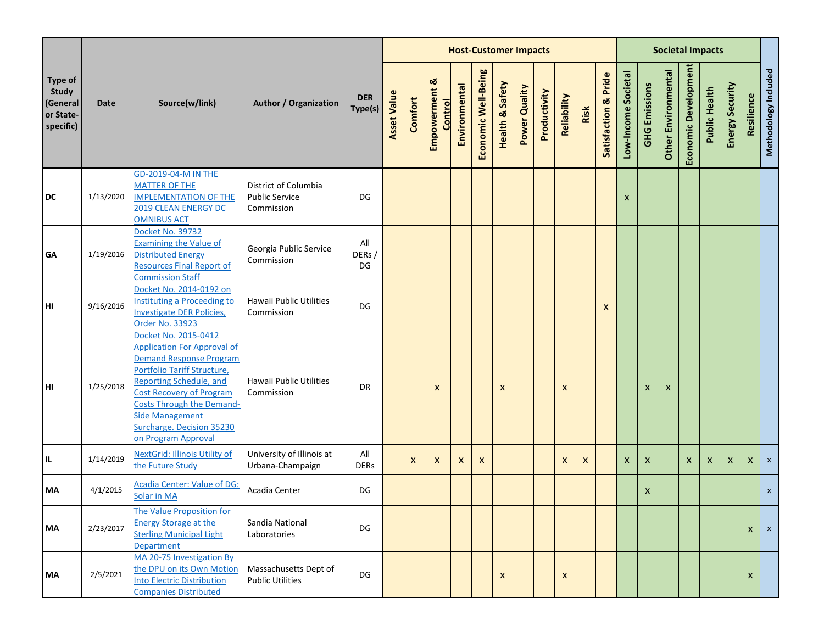|                                                                      |           |                                                                                                                                                                                                                                                                                                                    |                                                             |                       |                    |         |                           |                           |                           | <b>Host-Customer Impacts</b> |               |              |                           |      |                           |                     |                      | <b>Societal Impacts</b>    |                           |               |                           |              |                      |
|----------------------------------------------------------------------|-----------|--------------------------------------------------------------------------------------------------------------------------------------------------------------------------------------------------------------------------------------------------------------------------------------------------------------------|-------------------------------------------------------------|-----------------------|--------------------|---------|---------------------------|---------------------------|---------------------------|------------------------------|---------------|--------------|---------------------------|------|---------------------------|---------------------|----------------------|----------------------------|---------------------------|---------------|---------------------------|--------------|----------------------|
| <b>Type of</b><br><b>Study</b><br>(General<br>or State-<br>specific) | Date      | Source(w/link)                                                                                                                                                                                                                                                                                                     | <b>Author / Organization</b>                                | <b>DER</b><br>Type(s) | <b>Asset Value</b> | Comfort | Empowerment &<br>Control  | Environmental             | Economic Well-Being       | Safety<br>Health &           | Power Quality | Productivity | Reliability               | Risk | Satisfaction & Pride      | Low-Income Societal | <b>GHG Emissions</b> | <b>Other Environmental</b> | Economic Development      | Public Health | Energy Security           | Resilience   | Methodology Included |
| <b>DC</b>                                                            | 1/13/2020 | <b>GD-2019-04-M IN THE</b><br><b>MATTER OF THE</b><br><b>IMPLEMENTATION OF THE</b><br><b>2019 CLEAN ENERGY DC</b><br><b>OMNIBUS ACT</b>                                                                                                                                                                            | District of Columbia<br><b>Public Service</b><br>Commission | DG                    |                    |         |                           |                           |                           |                              |               |              |                           |      |                           | X                   |                      |                            |                           |               |                           |              |                      |
| GA                                                                   | 1/19/2016 | Docket No. 39732<br><b>Examining the Value of</b><br><b>Distributed Energy</b><br><b>Resources Final Report of</b><br><b>Commission Staff</b>                                                                                                                                                                      | Georgia Public Service<br>Commission                        | All<br>DERs/<br>DG    |                    |         |                           |                           |                           |                              |               |              |                           |      |                           |                     |                      |                            |                           |               |                           |              |                      |
| HI                                                                   | 9/16/2016 | Docket No. 2014-0192 on<br><b>Instituting a Proceeding to</b><br><b>Investigate DER Policies,</b><br><b>Order No. 33923</b>                                                                                                                                                                                        | Hawaii Public Utilities<br>Commission                       | DG                    |                    |         |                           |                           |                           |                              |               |              |                           |      | $\boldsymbol{\mathsf{x}}$ |                     |                      |                            |                           |               |                           |              |                      |
| HI                                                                   | 1/25/2018 | Docket No. 2015-0412<br><b>Application For Approval of</b><br><b>Demand Response Program</b><br>Portfolio Tariff Structure,<br><b>Reporting Schedule, and</b><br><b>Cost Recovery of Program</b><br><b>Costs Through the Demand-</b><br><b>Side Management</b><br>Surcharge. Decision 35230<br>on Program Approval | Hawaii Public Utilities<br>Commission                       | DR                    |                    |         | $\boldsymbol{\mathsf{x}}$ |                           |                           | X                            |               |              | X                         |      |                           |                     | X                    | X                          |                           |               |                           |              |                      |
| IL.                                                                  | 1/14/2019 | <b>NextGrid: Illinois Utility of</b><br>the Future Study                                                                                                                                                                                                                                                           | University of Illinois at<br>Urbana-Champaign               | All<br><b>DERs</b>    |                    | X       | $\mathsf{x}$              | $\boldsymbol{\mathsf{x}}$ | $\boldsymbol{\mathsf{x}}$ |                              |               |              | $\boldsymbol{\mathsf{x}}$ | X    |                           | $\mathsf{x}$        | $\mathsf{x}$         |                            | $\boldsymbol{\mathsf{x}}$ | $\mathsf{x}$  | $\boldsymbol{\mathsf{X}}$ | $\mathsf{x}$ | $\mathsf{x}$         |
| МA                                                                   | 4/1/2015  | Acadia Center: Value of DG:<br>Solar in MA                                                                                                                                                                                                                                                                         | Acadia Center                                               | DG                    |                    |         |                           |                           |                           |                              |               |              |                           |      |                           |                     | X                    |                            |                           |               |                           |              | $\mathsf{x}$         |
| <b>MA</b>                                                            | 2/23/2017 | The Value Proposition for<br><b>Energy Storage at the</b><br><b>Sterling Municipal Light</b><br><b>Department</b>                                                                                                                                                                                                  | Sandia National<br>Laboratories                             | DG                    |                    |         |                           |                           |                           |                              |               |              |                           |      |                           |                     |                      |                            |                           |               |                           | $\mathsf{x}$ | $\mathbf{x}$         |
| MA                                                                   | 2/5/2021  | MA 20-75 Investigation By<br>the DPU on its Own Motion<br><b>Into Electric Distribution</b><br><b>Companies Distributed</b>                                                                                                                                                                                        | Massachusetts Dept of<br><b>Public Utilities</b>            | DG                    |                    |         |                           |                           |                           | $\boldsymbol{x}$             |               |              | $\pmb{\mathsf{X}}$        |      |                           |                     |                      |                            |                           |               |                           | X            |                      |